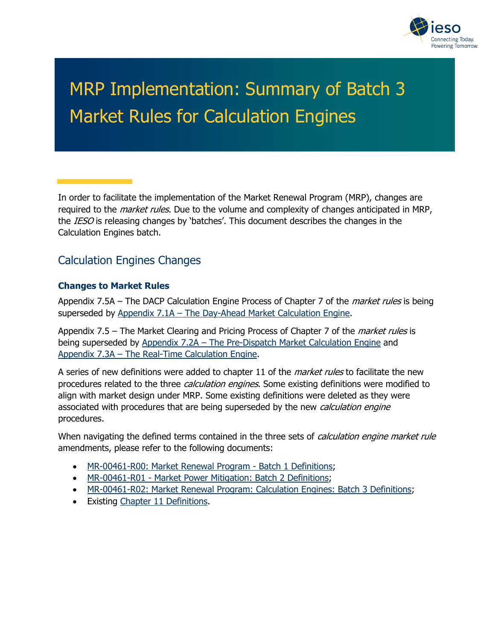

# MRP Implementation: Summary of Batch 3 Market Rules for Calculation Engines

In order to facilitate the implementation of the Market Renewal Program (MRP), changes are required to the *market rules*. Due to the volume and complexity of changes anticipated in MRP, the IESO is releasing changes by 'batches'. This document describes the changes in the Calculation Engines batch.

## Calculation Engines Changes

#### **Changes to Market Rules**

Appendix 7.5A – The DACP Calculation Engine Process of Chapter 7 of the *market rules* is being superseded by [Appendix 7.1A – The Day-Ahead Market Calculation Engine.](https://ieso.ca/-/media/Files/IESO/Document-Library/engage/imrm/MR-00458-R00-The-Day-Ahead-Market-Calculation-Engine.ashx)

Appendix 7.5 – The Market Clearing and Pricing Process of Chapter 7 of the *market rules* is being superseded by [Appendix 7.2A – The Pre-Dispatch Market Calculation Engine](https://ieso.ca/-/media/Files/IESO/Document-Library/engage/imrm/MR-00459-R00-The-Pre-Dispatch-Calculation-Engine.ashx) and [Appendix 7.3A – The Real-Time Calculation Engine.](https://ieso.ca/-/media/Files/IESO/Document-Library/engage/imrm/MR-00460-R00-The%20Real-Time-Calculation-Engine.ashx)

A series of new definitions were added to chapter 11 of the *market rules* to facilitate the new procedures related to the three *calculation engines*. Some existing definitions were modified to align with market design under MRP. Some existing definitions were deleted as they were associated with procedures that are being superseded by the new *calculation engine* procedures.

When navigating the defined terms contained in the three sets of *calculation engine market rule* amendments, please refer to the following documents:

- [MR-00461-R00: Market Renewal Program Batch 1 Definitions;](https://ieso.ca/-/media/Files/IESO/Document-Library/tp/2021/iesotp-20210422-MR_00461_R00-MRP-Batch-1-Definitions.ashx)
- [MR-00461-R01 Market Power Mitigation: Batch 2 Definitions;](https://ieso.ca/-/media/Files/IESO/Document-Library/tp/2022/iesotp-MR-00461-R01-Batch-2-Definitions.ashx)
- [MR-00461-R02: Market Renewal Program: Calculation Engines: Batch 3 Definitions;](https://ieso.ca/-/media/Files/IESO/Document-Library/engage/imrm/MR-00461-R02-Calculation-Engines-Batch-3-Definitions.ashx)
- Existing [Chapter 11 Definitions.](https://ieso.ca/-/media/Files/IESO/Document-Library/Market-Rules-and-Manuals-Library/market-rules/mr-chapter11.ashx)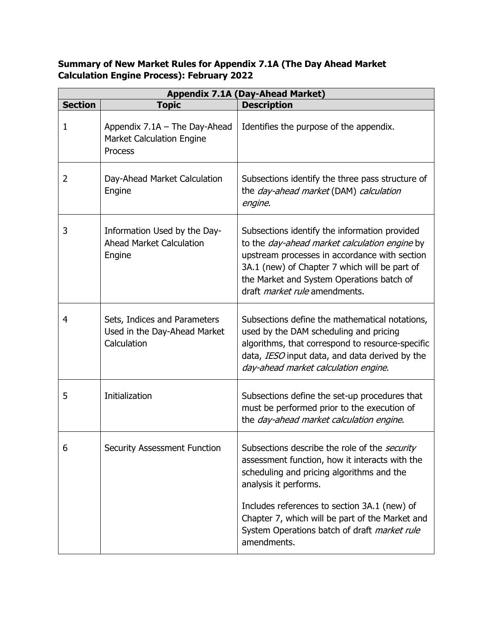#### **Summary of New Market Rules for Appendix 7.1A (The Day Ahead Market Calculation Engine Process): February 2022**

| <b>Appendix 7.1A (Day-Ahead Market)</b> |                                                                              |                                                                                                                                                                                                                                                                                              |
|-----------------------------------------|------------------------------------------------------------------------------|----------------------------------------------------------------------------------------------------------------------------------------------------------------------------------------------------------------------------------------------------------------------------------------------|
| <b>Section</b>                          | <b>Topic</b>                                                                 | <b>Description</b>                                                                                                                                                                                                                                                                           |
| 1                                       | Appendix 7.1A - The Day-Ahead<br><b>Market Calculation Engine</b><br>Process | Identifies the purpose of the appendix.                                                                                                                                                                                                                                                      |
| 2                                       | Day-Ahead Market Calculation<br>Engine                                       | Subsections identify the three pass structure of<br>the day-ahead market (DAM) calculation<br>engine.                                                                                                                                                                                        |
| 3                                       | Information Used by the Day-<br><b>Ahead Market Calculation</b><br>Engine    | Subsections identify the information provided<br>to the <i>day-ahead market calculation engine</i> by<br>upstream processes in accordance with section<br>3A.1 (new) of Chapter 7 which will be part of<br>the Market and System Operations batch of<br>draft <i>market rule</i> amendments. |
| 4                                       | Sets, Indices and Parameters<br>Used in the Day-Ahead Market<br>Calculation  | Subsections define the mathematical notations,<br>used by the DAM scheduling and pricing<br>algorithms, that correspond to resource-specific<br>data, IESO input data, and data derived by the<br>day-ahead market calculation engine.                                                       |
| 5                                       | Initialization                                                               | Subsections define the set-up procedures that<br>must be performed prior to the execution of<br>the day-ahead market calculation engine.                                                                                                                                                     |
| 6                                       | <b>Security Assessment Function</b>                                          | Subsections describe the role of the security<br>assessment function, how it interacts with the<br>scheduling and pricing algorithms and the<br>analysis it performs.                                                                                                                        |
|                                         |                                                                              | Includes references to section 3A.1 (new) of<br>Chapter 7, which will be part of the Market and<br>System Operations batch of draft market rule<br>amendments.                                                                                                                               |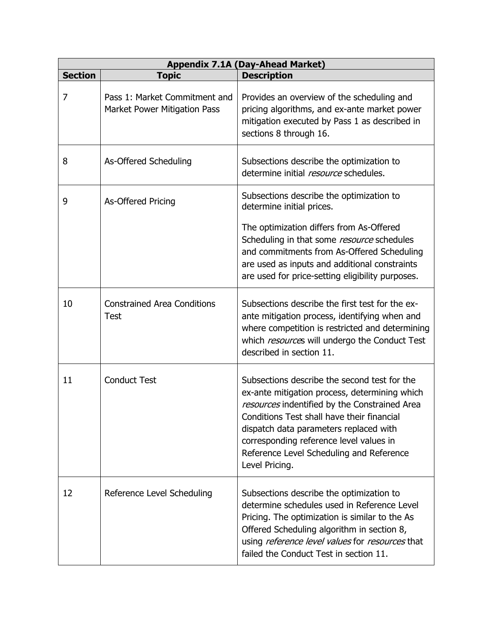| <b>Appendix 7.1A (Day-Ahead Market)</b> |                                                               |                                                                                                                                                                                                                                                                                                                                                 |
|-----------------------------------------|---------------------------------------------------------------|-------------------------------------------------------------------------------------------------------------------------------------------------------------------------------------------------------------------------------------------------------------------------------------------------------------------------------------------------|
| <b>Section</b>                          | <b>Topic</b>                                                  | <b>Description</b>                                                                                                                                                                                                                                                                                                                              |
| 7                                       | Pass 1: Market Commitment and<br>Market Power Mitigation Pass | Provides an overview of the scheduling and<br>pricing algorithms, and ex-ante market power<br>mitigation executed by Pass 1 as described in<br>sections 8 through 16.                                                                                                                                                                           |
| 8                                       | As-Offered Scheduling                                         | Subsections describe the optimization to<br>determine initial resource schedules.                                                                                                                                                                                                                                                               |
| 9                                       | As-Offered Pricing                                            | Subsections describe the optimization to<br>determine initial prices.<br>The optimization differs from As-Offered                                                                                                                                                                                                                               |
|                                         |                                                               | Scheduling in that some resource schedules<br>and commitments from As-Offered Scheduling<br>are used as inputs and additional constraints<br>are used for price-setting eligibility purposes.                                                                                                                                                   |
| 10                                      | <b>Constrained Area Conditions</b><br>Test                    | Subsections describe the first test for the ex-<br>ante mitigation process, identifying when and<br>where competition is restricted and determining<br>which resources will undergo the Conduct Test<br>described in section 11.                                                                                                                |
| 11                                      | <b>Conduct Test</b>                                           | Subsections describe the second test for the<br>ex-ante mitigation process, determining which<br>resources indentified by the Constrained Area<br>Conditions Test shall have their financial<br>dispatch data parameters replaced with<br>corresponding reference level values in<br>Reference Level Scheduling and Reference<br>Level Pricing. |
| 12                                      | Reference Level Scheduling                                    | Subsections describe the optimization to<br>determine schedules used in Reference Level<br>Pricing. The optimization is similar to the As<br>Offered Scheduling algorithm in section 8,<br>using reference level values for resources that<br>failed the Conduct Test in section 11.                                                            |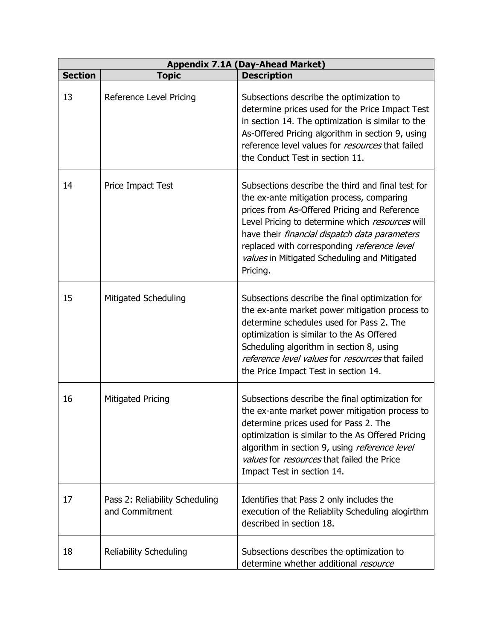|                |                                                  | <b>Appendix 7.1A (Day-Ahead Market)</b>                                                                                                                                                                                                                                                                                                                              |
|----------------|--------------------------------------------------|----------------------------------------------------------------------------------------------------------------------------------------------------------------------------------------------------------------------------------------------------------------------------------------------------------------------------------------------------------------------|
| <b>Section</b> | <b>Topic</b>                                     | <b>Description</b>                                                                                                                                                                                                                                                                                                                                                   |
| 13             | Reference Level Pricing                          | Subsections describe the optimization to<br>determine prices used for the Price Impact Test<br>in section 14. The optimization is similar to the<br>As-Offered Pricing algorithm in section 9, using<br>reference level values for <i>resources</i> that failed<br>the Conduct Test in section 11.                                                                   |
| 14             | Price Impact Test                                | Subsections describe the third and final test for<br>the ex-ante mitigation process, comparing<br>prices from As-Offered Pricing and Reference<br>Level Pricing to determine which resources will<br>have their <i>financial dispatch data parameters</i><br>replaced with corresponding reference level<br>values in Mitigated Scheduling and Mitigated<br>Pricing. |
| 15             | <b>Mitigated Scheduling</b>                      | Subsections describe the final optimization for<br>the ex-ante market power mitigation process to<br>determine schedules used for Pass 2. The<br>optimization is similar to the As Offered<br>Scheduling algorithm in section 8, using<br>reference level values for resources that failed<br>the Price Impact Test in section 14.                                   |
| 16             | <b>Mitigated Pricing</b>                         | Subsections describe the final optimization for<br>the ex-ante market power mitigation process to<br>determine prices used for Pass 2. The<br>optimization is similar to the As Offered Pricing<br>algorithm in section 9, using <i>reference level</i><br>values for resources that failed the Price<br>Impact Test in section 14.                                  |
| 17             | Pass 2: Reliability Scheduling<br>and Commitment | Identifies that Pass 2 only includes the<br>execution of the Reliablity Scheduling alogirthm<br>described in section 18.                                                                                                                                                                                                                                             |
| 18             | <b>Reliability Scheduling</b>                    | Subsections describes the optimization to<br>determine whether additional resource                                                                                                                                                                                                                                                                                   |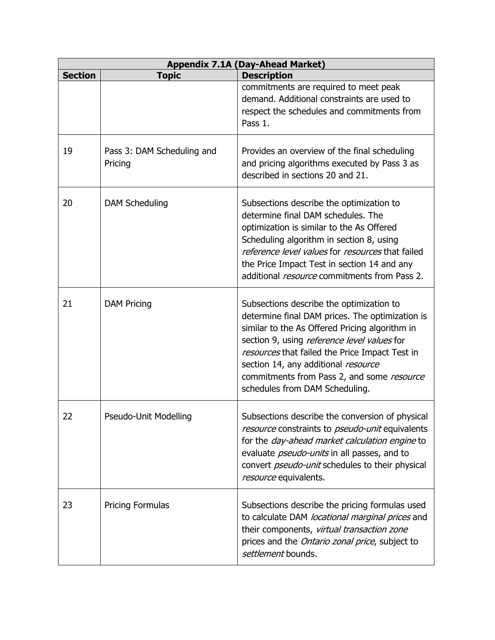| <b>Appendix 7.1A (Day-Ahead Market)</b> |                                       |                                                                                                                                                                                                                                                                                                                                                                       |
|-----------------------------------------|---------------------------------------|-----------------------------------------------------------------------------------------------------------------------------------------------------------------------------------------------------------------------------------------------------------------------------------------------------------------------------------------------------------------------|
| <b>Section</b>                          | <b>Topic</b>                          | <b>Description</b>                                                                                                                                                                                                                                                                                                                                                    |
|                                         |                                       | commitments are required to meet peak<br>demand. Additional constraints are used to<br>respect the schedules and commitments from<br>Pass 1.                                                                                                                                                                                                                          |
| 19                                      | Pass 3: DAM Scheduling and<br>Pricing | Provides an overview of the final scheduling<br>and pricing algorithms executed by Pass 3 as<br>described in sections 20 and 21.                                                                                                                                                                                                                                      |
| 20                                      | <b>DAM Scheduling</b>                 | Subsections describe the optimization to<br>determine final DAM schedules. The<br>optimization is similar to the As Offered<br>Scheduling algorithm in section 8, using<br>reference level values for resources that failed<br>the Price Impact Test in section 14 and any<br>additional <i>resource</i> commitments from Pass 2.                                     |
| 21                                      | <b>DAM Pricing</b>                    | Subsections describe the optimization to<br>determine final DAM prices. The optimization is<br>similar to the As Offered Pricing algorithm in<br>section 9, using reference level values for<br>resources that failed the Price Impact Test in<br>section 14, any additional resource<br>commitments from Pass 2, and some resource<br>schedules from DAM Scheduling. |
| 22                                      | Pseudo-Unit Modelling                 | Subsections describe the conversion of physical<br>resource constraints to <i>pseudo-unit</i> equivalents<br>for the <i>day-ahead market calculation engine</i> to<br>evaluate <i>pseudo-units</i> in all passes, and to<br>convert <i>pseudo-unit</i> schedules to their physical<br>resource equivalents.                                                           |
| 23                                      | <b>Pricing Formulas</b>               | Subsections describe the pricing formulas used<br>to calculate DAM locational marginal prices and<br>their components, virtual transaction zone<br>prices and the <i>Ontario zonal price</i> , subject to<br>settlement bounds.                                                                                                                                       |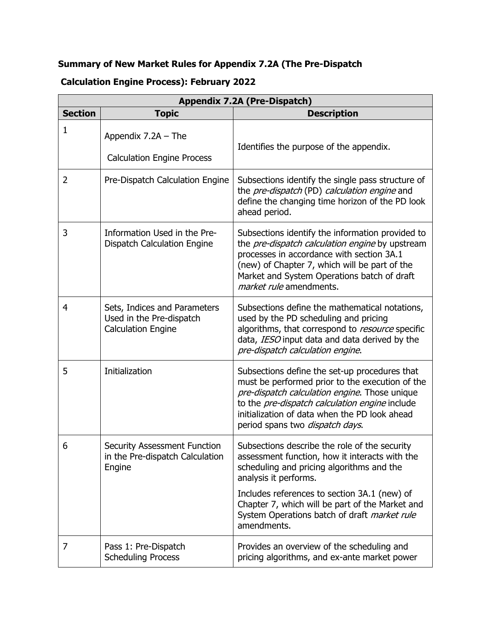# **Summary of New Market Rules for Appendix 7.2A (The Pre-Dispatch**

## **Calculation Engine Process): February 2022**

| <b>Appendix 7.2A (Pre-Dispatch)</b> |                                                                                       |                                                                                                                                                                                                                                                                                                                                         |
|-------------------------------------|---------------------------------------------------------------------------------------|-----------------------------------------------------------------------------------------------------------------------------------------------------------------------------------------------------------------------------------------------------------------------------------------------------------------------------------------|
| <b>Section</b>                      | <b>Topic</b>                                                                          | <b>Description</b>                                                                                                                                                                                                                                                                                                                      |
| 1                                   | Appendix $7.2A$ – The<br><b>Calculation Engine Process</b>                            | Identifies the purpose of the appendix.                                                                                                                                                                                                                                                                                                 |
| 2                                   | Pre-Dispatch Calculation Engine                                                       | Subsections identify the single pass structure of<br>the pre-dispatch (PD) calculation engine and<br>define the changing time horizon of the PD look<br>ahead period.                                                                                                                                                                   |
| 3                                   | Information Used in the Pre-<br><b>Dispatch Calculation Engine</b>                    | Subsections identify the information provided to<br>the pre-dispatch calculation engine by upstream<br>processes in accordance with section 3A.1<br>(new) of Chapter 7, which will be part of the<br>Market and System Operations batch of draft<br><i>market rule</i> amendments.                                                      |
| $\overline{4}$                      | Sets, Indices and Parameters<br>Used in the Pre-dispatch<br><b>Calculation Engine</b> | Subsections define the mathematical notations,<br>used by the PD scheduling and pricing<br>algorithms, that correspond to resource specific<br>data, IESO input data and data derived by the<br>pre-dispatch calculation engine.                                                                                                        |
| 5                                   | Initialization                                                                        | Subsections define the set-up procedures that<br>must be performed prior to the execution of the<br>pre-dispatch calculation engine. Those unique<br>to the pre-dispatch calculation engine include<br>initialization of data when the PD look ahead<br>period spans two <i>dispatch days</i> .                                         |
| 6                                   | <b>Security Assessment Function</b><br>in the Pre-dispatch Calculation<br>Engine      | Subsections describe the role of the security<br>assessment function, how it interacts with the<br>scheduling and pricing algorithms and the<br>analysis it performs.<br>Includes references to section 3A.1 (new) of<br>Chapter 7, which will be part of the Market and<br>System Operations batch of draft market rule<br>amendments. |
| 7                                   | Pass 1: Pre-Dispatch<br><b>Scheduling Process</b>                                     | Provides an overview of the scheduling and<br>pricing algorithms, and ex-ante market power                                                                                                                                                                                                                                              |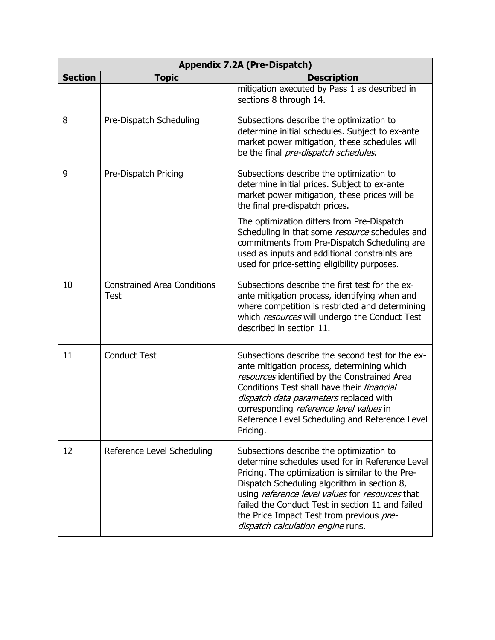| <b>Appendix 7.2A (Pre-Dispatch)</b> |                                                   |                                                                                                                                                                                                                                                                                                                                                                                        |
|-------------------------------------|---------------------------------------------------|----------------------------------------------------------------------------------------------------------------------------------------------------------------------------------------------------------------------------------------------------------------------------------------------------------------------------------------------------------------------------------------|
| <b>Section</b>                      | <b>Topic</b>                                      | <b>Description</b>                                                                                                                                                                                                                                                                                                                                                                     |
|                                     |                                                   | mitigation executed by Pass 1 as described in<br>sections 8 through 14.                                                                                                                                                                                                                                                                                                                |
| 8                                   | Pre-Dispatch Scheduling                           | Subsections describe the optimization to<br>determine initial schedules. Subject to ex-ante<br>market power mitigation, these schedules will<br>be the final pre-dispatch schedules.                                                                                                                                                                                                   |
| 9                                   | Pre-Dispatch Pricing                              | Subsections describe the optimization to<br>determine initial prices. Subject to ex-ante<br>market power mitigation, these prices will be<br>the final pre-dispatch prices.                                                                                                                                                                                                            |
|                                     |                                                   | The optimization differs from Pre-Dispatch<br>Scheduling in that some resource schedules and<br>commitments from Pre-Dispatch Scheduling are<br>used as inputs and additional constraints are<br>used for price-setting eligibility purposes.                                                                                                                                          |
| 10                                  | <b>Constrained Area Conditions</b><br><b>Test</b> | Subsections describe the first test for the ex-<br>ante mitigation process, identifying when and<br>where competition is restricted and determining<br>which resources will undergo the Conduct Test<br>described in section 11.                                                                                                                                                       |
| 11                                  | <b>Conduct Test</b>                               | Subsections describe the second test for the ex-<br>ante mitigation process, determining which<br>resources identified by the Constrained Area<br>Conditions Test shall have their <i>financial</i><br>dispatch data parameters replaced with<br>corresponding reference level values in<br>Reference Level Scheduling and Reference Level<br>Pricing.                                 |
| 12                                  | Reference Level Scheduling                        | Subsections describe the optimization to<br>determine schedules used for in Reference Level<br>Pricing. The optimization is similar to the Pre-<br>Dispatch Scheduling algorithm in section 8,<br>using reference level values for resources that<br>failed the Conduct Test in section 11 and failed<br>the Price Impact Test from previous pre-<br>dispatch calculation engine runs. |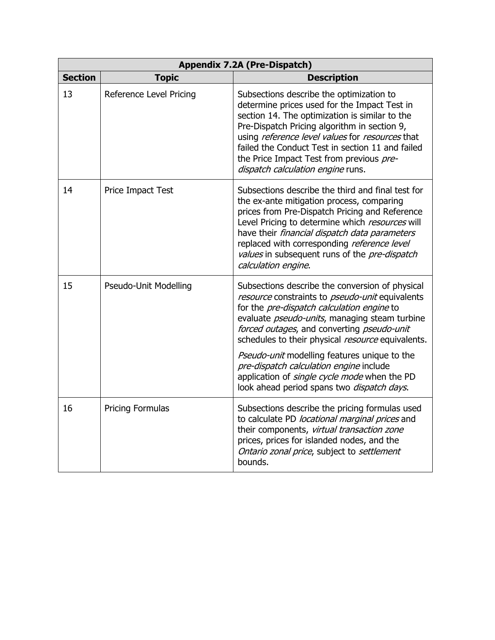| <b>Appendix 7.2A (Pre-Dispatch)</b> |                         |                                                                                                                                                                                                                                                                                                                                                                                                                                                                                                              |
|-------------------------------------|-------------------------|--------------------------------------------------------------------------------------------------------------------------------------------------------------------------------------------------------------------------------------------------------------------------------------------------------------------------------------------------------------------------------------------------------------------------------------------------------------------------------------------------------------|
| <b>Section</b>                      | <b>Topic</b>            | <b>Description</b>                                                                                                                                                                                                                                                                                                                                                                                                                                                                                           |
| 13                                  | Reference Level Pricing | Subsections describe the optimization to<br>determine prices used for the Impact Test in<br>section 14. The optimization is similar to the<br>Pre-Dispatch Pricing algorithm in section 9,<br>using reference level values for resources that<br>failed the Conduct Test in section 11 and failed<br>the Price Impact Test from previous pre-<br>dispatch calculation engine runs.                                                                                                                           |
| 14                                  | Price Impact Test       | Subsections describe the third and final test for<br>the ex-ante mitigation process, comparing<br>prices from Pre-Dispatch Pricing and Reference<br>Level Pricing to determine which resources will<br>have their <i>financial dispatch data parameters</i><br>replaced with corresponding reference level<br>values in subsequent runs of the pre-dispatch<br>calculation engine.                                                                                                                           |
| 15                                  | Pseudo-Unit Modelling   | Subsections describe the conversion of physical<br>resource constraints to <i>pseudo-unit</i> equivalents<br>for the pre-dispatch calculation engine to<br>evaluate <i>pseudo-units</i> , managing steam turbine<br>forced outages, and converting pseudo-unit<br>schedules to their physical resource equivalents.<br>Pseudo-unit modelling features unique to the<br>pre-dispatch calculation engine include<br>application of single cycle mode when the PD<br>look ahead period spans two dispatch days. |
| 16                                  | Pricing Formulas        | Subsections describe the pricing formulas used<br>to calculate PD locational marginal prices and<br>their components, virtual transaction zone<br>prices, prices for islanded nodes, and the<br>Ontario zonal price, subject to settlement<br>bounds.                                                                                                                                                                                                                                                        |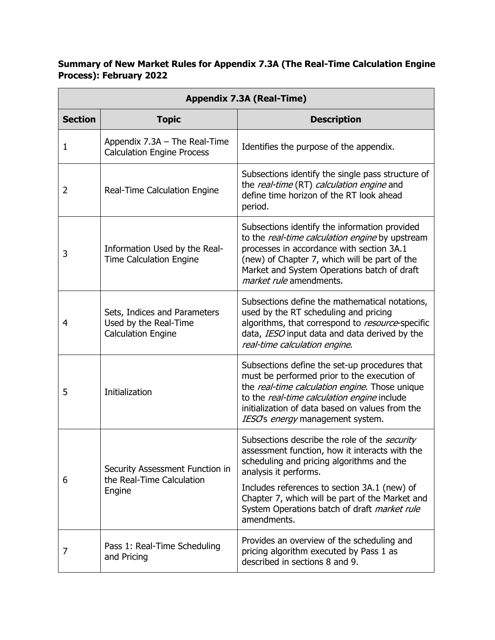#### **Summary of New Market Rules for Appendix 7.3A (The Real-Time Calculation Engine Process): February 2022**

| <b>Appendix 7.3A (Real-Time)</b> |                                                                                    |                                                                                                                                                                                                                                                                                                                                         |
|----------------------------------|------------------------------------------------------------------------------------|-----------------------------------------------------------------------------------------------------------------------------------------------------------------------------------------------------------------------------------------------------------------------------------------------------------------------------------------|
| <b>Section</b>                   | <b>Topic</b>                                                                       | <b>Description</b>                                                                                                                                                                                                                                                                                                                      |
| 1                                | Appendix $7.3A$ – The Real-Time<br><b>Calculation Engine Process</b>               | Identifies the purpose of the appendix.                                                                                                                                                                                                                                                                                                 |
| 2                                | Real-Time Calculation Engine                                                       | Subsections identify the single pass structure of<br>the real-time (RT) calculation engine and<br>define time horizon of the RT look ahead<br>period.                                                                                                                                                                                   |
| 3                                | Information Used by the Real-<br><b>Time Calculation Engine</b>                    | Subsections identify the information provided<br>to the real-time calculation engine by upstream<br>processes in accordance with section 3A.1<br>(new) of Chapter 7, which will be part of the<br>Market and System Operations batch of draft<br><i>market rule</i> amendments.                                                         |
| 4                                | Sets, Indices and Parameters<br>Used by the Real-Time<br><b>Calculation Engine</b> | Subsections define the mathematical notations,<br>used by the RT scheduling and pricing<br>algorithms, that correspond to resource-specific<br>data, IESO input data and data derived by the<br>real-time calculation engine.                                                                                                           |
| 5                                | Initialization                                                                     | Subsections define the set-up procedures that<br>must be performed prior to the execution of<br>the real-time calculation engine. Those unique<br>to the real-time calculation engine include<br>initialization of data based on values from the<br>IESO's energy management system.                                                    |
| 6                                | Security Assessment Function in<br>the Real-Time Calculation<br>Engine             | Subsections describe the role of the security<br>assessment function, how it interacts with the<br>scheduling and pricing algorithms and the<br>analysis it performs.<br>Includes references to section 3A.1 (new) of<br>Chapter 7, which will be part of the Market and<br>System Operations batch of draft market rule<br>amendments. |
| 7                                | Pass 1: Real-Time Scheduling<br>and Pricing                                        | Provides an overview of the scheduling and<br>pricing algorithm executed by Pass 1 as<br>described in sections 8 and 9.                                                                                                                                                                                                                 |